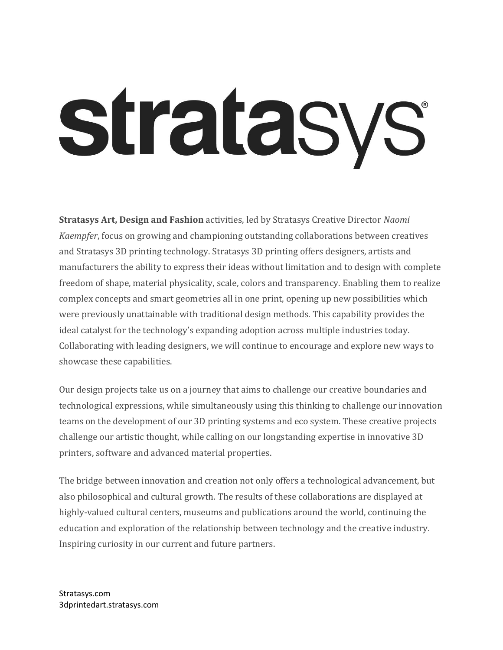## stratasys

**Stratasys Art, Design and Fashion** activities, led by Stratasys Creative Director *Naomi Kaempfer*, focus on growing and championing outstanding collaborations between creatives and Stratasys 3D printing technology. Stratasys 3D printing offers designers, artists and manufacturers the ability to express their ideas without limitation and to design with complete freedom of shape, material physicality, scale, colors and transparency. Enabling them to realize complex concepts and smart geometries all in one print, opening up new possibilities which were previously unattainable with traditional design methods. This capability provides the ideal catalyst for the technology's expanding adoption across multiple industries today. Collaborating with leading designers, we will continue to encourage and explore new ways to showcase these capabilities.

Our design projects take us on a journey that aims to challenge our creative boundaries and technological expressions, while simultaneously using this thinking to challenge our innovation teams on the development of our 3D printing systems and eco system. These creative projects challenge our artistic thought, while calling on our longstanding expertise in innovative 3D printers, software and advanced material properties.

The bridge between innovation and creation not only offers a technological advancement, but also philosophical and cultural growth. The results of these collaborations are displayed at highly-valued cultural centers, museums and publications around the world, continuing the education and exploration of the relationship between technology and the creative industry. Inspiring curiosity in our current and future partners.